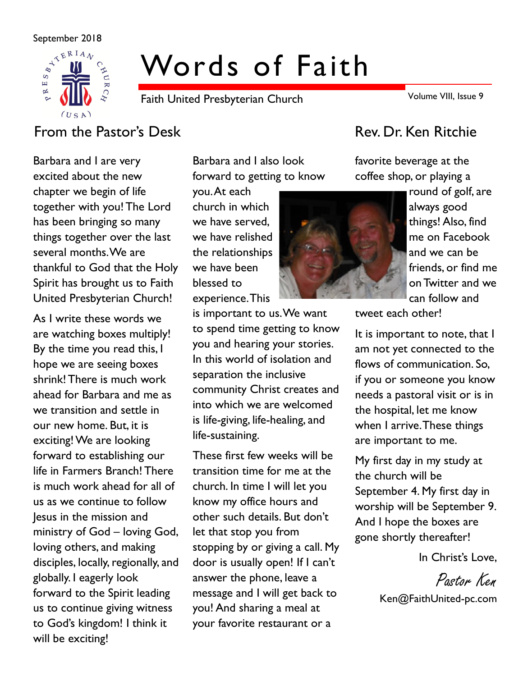

# Words of Faith

Faith United Presbyterian Church

Volume VIII, Issue 9

# From the Pastor's Desk Rev. Dr. Ken Ritchie

Barbara and I are very excited about the new chapter we begin of life together with you! The Lord has been bringing so many things together over the last several months. We are thankful to God that the Holy Spirit has brought us to Faith United Presbyterian Church!

As I write these words we are watching boxes multiply! By the time you read this, I hope we are seeing boxes shrink! There is much work ahead for Barbara and me as we transition and settle in our new home. But, it is exciting! We are looking forward to establishing our life in Farmers Branch! There is much work ahead for all of us as we continue to follow Jesus in the mission and ministry of God – loving God, loving others, and making disciples, locally, regionally, and globally. I eagerly look forward to the Spirit leading us to continue giving witness to God's kingdom! I think it will be exciting!

Barbara and I also look forward to getting to know

you. At each church in which we have served, we have relished the relationships we have been blessed to experience. This

is important to us. We want to spend time getting to know you and hearing your stories. In this world of isolation and separation the inclusive community Christ creates and into which we are welcomed is life-giving, life-healing, and life-sustaining.

These first few weeks will be transition time for me at the church. In time I will let you know my office hours and other such details. But don't let that stop you from stopping by or giving a call. My door is usually open! If I can't answer the phone, leave a message and I will get back to you! And sharing a meal at your favorite restaurant or a

favorite beverage at the coffee shop, or playing a



round of golf, are always good things! Also, find me on Facebook and we can be friends, or find me on Twitter and we can follow and

tweet each other!

It is important to note, that I am not yet connected to the flows of communication. So, if you or someone you know needs a pastoral visit or is in the hospital, let me know when I arrive. These things are important to me.

My first day in my study at the church will be September 4. My first day in worship will be September 9. And I hope the boxes are gone shortly thereafter!

In Christ's Love,

Pastor Ken Ken@FaithUnited-pc.com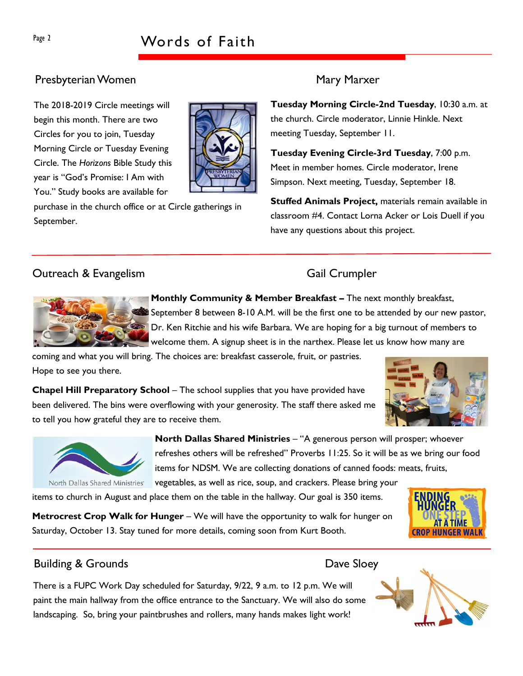# Presbyterian Women Mary Marxer

The 2018-2019 Circle meetings will begin this month. There are two Circles for you to join, Tuesday Morning Circle or Tuesday Evening Circle. The Horizons Bible Study this year is "God's Promise: I Am with You." Study books are available for



purchase in the church office or at Circle gatherings in September.

Tuesday Morning Circle-2nd Tuesday, 10:30 a.m. at the church. Circle moderator, Linnie Hinkle. Next meeting Tuesday, September 11.

Tuesday Evening Circle-3rd Tuesday, 7:00 p.m. Meet in member homes. Circle moderator, Irene Simpson. Next meeting, Tuesday, September 18.

Stuffed Animals Project, materials remain available in classroom #4. Contact Lorna Acker or Lois Duell if you have any questions about this project.

# **Outreach & Evangelism** Gail Crumpler



Monthly Community & Member Breakfast – The next monthly breakfast, September 8 between 8-10 A.M. will be the first one to be attended by our new pastor, Dr. Ken Ritchie and his wife Barbara. We are hoping for a big turnout of members to welcome them. A signup sheet is in the narthex. Please let us know how many are

coming and what you will bring. The choices are: breakfast casserole, fruit, or pastries. Hope to see you there.

Chapel Hill Preparatory School – The school supplies that you have provided have been delivered. The bins were overflowing with your generosity. The staff there asked me to tell you how grateful they are to receive them.





North Dallas Shared Ministries – "A generous person will prosper; whoever refreshes others will be refreshed" Proverbs 11:25. So it will be as we bring our food items for NDSM. We are collecting donations of canned foods: meats, fruits,

vegetables, as well as rice, soup, and crackers. Please bring your

items to church in August and place them on the table in the hallway. Our goal is 350 items.

Metrocrest Crop Walk for Hunger – We will have the opportunity to walk for hunger on Saturday, October 13. Stay tuned for more details, coming soon from Kurt Booth.



# Building & Grounds **Dave Sloey**

There is a FUPC Work Day scheduled for Saturday, 9/22, 9 a.m. to 12 p.m. We will paint the main hallway from the office entrance to the Sanctuary. We will also do some landscaping. So, bring your paintbrushes and rollers, many hands makes light work!

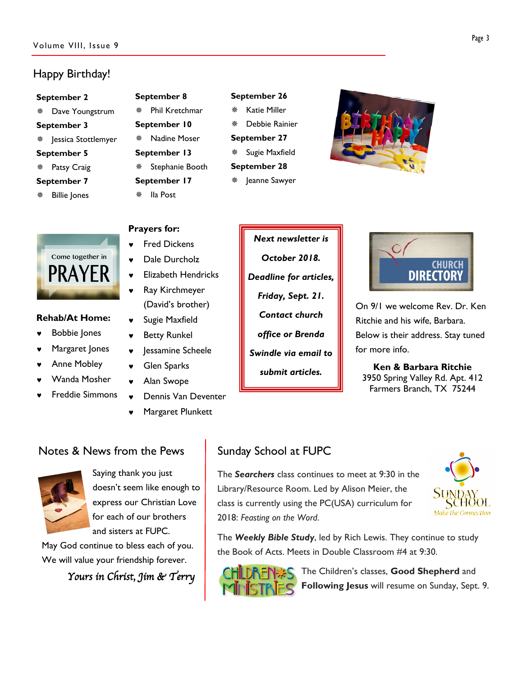# Happy Birthday!

#### September 2

- Dave Youngstrum
- September 3
- \* Jessica Stottlemyer
- September 5
- Patsy Craig

#### September 7

Billie Jones

## September 8

 Phil Kretchmar September 10 Nadine Moser September 13 Stephanie Booth September 17 Ila Post

Prayers for:

**Fred Dickens** ♥ Dale Durcholz

♥ Elizabeth Hendricks Ray Kirchmeyer (David's brother)

Jessamine Scheele

Dennis Van Deventer

Margaret Plunkett

♥ Sugie Maxfield **Betty Runkel** 

♥ Glen Sparks Alan Swope

### September 26

- Katie Miller Debbie Rainier September 27
- \* Sugie Maxfield
- September 28
- Jeanne Sawyer





### Rehab/At Home:

- **Bobbie Jones**
- Margaret Jones
- ♥ Anne Mobley
- Wanda Mosher
- **Freddie Simmons**

Next newsletter is October 2018. Deadline for articles, Friday, Sept. 21. Contact church office or Brenda

> Swindle via email to submit articles.



On 9/1 we welcome Rev. Dr. Ken Ritchie and his wife, Barbara. Below is their address. Stay tuned for more info.

Ken & Barbara Ritchie 3950 Spring Valley Rd. Apt. 412 Farmers Branch, TX 75244

# Notes & News from the Pews



Saying thank you just doesn't seem like enough to express our Christian Love for each of our brothers and sisters at FUPC.

May God continue to bless each of you. We will value your friendship forever.

Yours in Christ, Jim & Terry

# Sunday School at FUPC

The Searchers class continues to meet at 9:30 in the Library/Resource Room. Led by Alison Meier, the class is currently using the PC(USA) curriculum for 2018: Feasting on the Word.



The Weekly Bible Study, led by Rich Lewis. They continue to study the Book of Acts. Meets in Double Classroom #4 at 9:30.



The Children's classes, Good Shepherd and Following Jesus will resume on Sunday, Sept. 9.